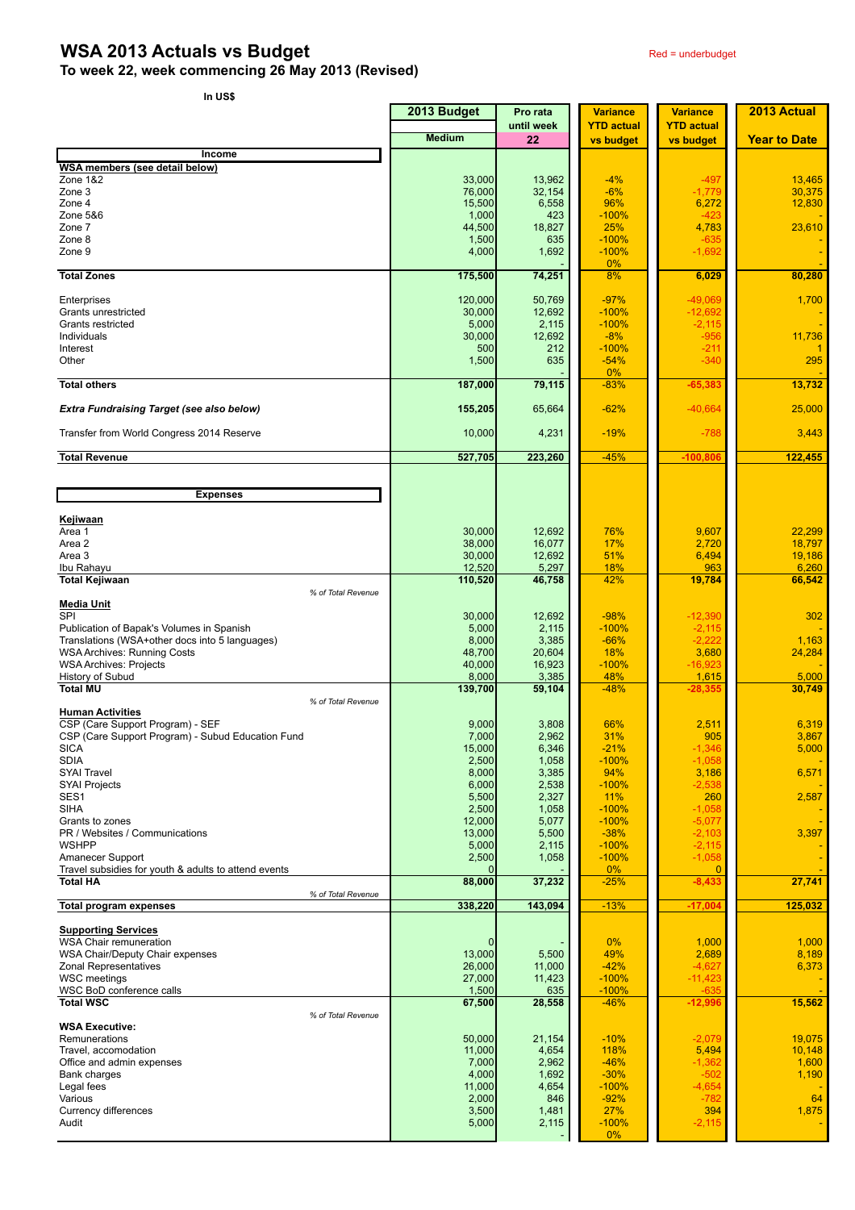## **WSA 2013 Actuals vs Budget** Red = underbudget

|  | ۰.<br>×<br>۰,<br>× |
|--|--------------------|
|--|--------------------|

|                                                                     | 2013 Budget      | Pro rata         | <b>Variance</b>                | <b>Variance</b>                | 2013 Actual         |
|---------------------------------------------------------------------|------------------|------------------|--------------------------------|--------------------------------|---------------------|
|                                                                     | <b>Medium</b>    | until week<br>22 | <b>YTD actual</b><br>vs budget | <b>YTD actual</b><br>vs budget | <b>Year to Date</b> |
| Income                                                              |                  |                  |                                |                                |                     |
| <b>WSA members (see detail below)</b>                               |                  |                  |                                |                                |                     |
| Zone 1&2<br>Zone 3                                                  | 33,000<br>76,000 | 13,962<br>32,154 | $-4%$<br>$-6%$                 | $-497$<br>$-1,779$             | 13,465<br>30,375    |
| Zone 4                                                              | 15,500           | 6,558            | 96%                            | 6,272                          | 12,830              |
| Zone 5&6                                                            | 1,000            | 423              | $-100%$                        | -423                           |                     |
| Zone 7                                                              | 44,500           | 18,827           | 25%                            | 4,783                          | 23,610              |
| Zone 8<br>Zone 9                                                    | 1,500<br>4,000   | 635<br>1,692     | $-100%$<br>$-100%$             | $-635$<br>$-1,692$             |                     |
|                                                                     |                  |                  | 0%                             |                                |                     |
| <b>Total Zones</b>                                                  | 175,500          | 74,251           | 8%                             | 6,029                          | 80,280              |
| Enterprises                                                         | 120,000          | 50,769           | $-97%$                         | $-49,069$                      | 1,700               |
| Grants unrestricted                                                 | 30,000           | 12,692           | $-100%$                        | $-12,692$                      |                     |
| Grants restricted                                                   | 5,000            | 2,115            | $-100%$                        | $-2,115$                       |                     |
| Individuals<br>Interest                                             | 30,000<br>500    | 12,692<br>212    | $-8%$<br>$-100%$               | $-956$<br>$-211$               | 11,736              |
| Other                                                               | 1,500            | 635              | $-54%$                         | $-340$                         | 295                 |
| <b>Total others</b>                                                 | 187,000          | 79,115           | 0%<br>$-83%$                   | $-65,383$                      | 13,732              |
|                                                                     |                  |                  |                                |                                |                     |
| <b>Extra Fundraising Target (see also below)</b>                    | 155,205          | 65,664           | $-62%$                         | $-40,664$                      | 25,000              |
| Transfer from World Congress 2014 Reserve                           | 10,000           | 4,231            | $-19%$                         | $-788$                         | 3,443               |
| <b>Total Revenue</b>                                                | 527,705          | 223,260          | $-45%$                         | $-100,806$                     | 122,455             |
|                                                                     |                  |                  |                                |                                |                     |
| <b>Expenses</b>                                                     |                  |                  |                                |                                |                     |
|                                                                     |                  |                  |                                |                                |                     |
| Kejiwaan                                                            |                  |                  |                                |                                |                     |
| Area 1<br>Area 2                                                    | 30,000<br>38,000 | 12,692<br>16,077 | 76%<br>17%                     | 9,607<br>2,720                 | 22,299<br>18,797    |
| Area 3                                                              | 30,000           | 12,692           | 51%                            | 6,494                          | 19,186              |
| Ibu Rahayu                                                          | 12,520           | 5,297            | 18%                            | 963                            | 6,260               |
| <b>Total Kejiwaan</b>                                               | 110,520          | 46,758           | 42%                            | 19,784                         | 66,542              |
| % of Total Revenue<br>Media Unit                                    |                  |                  |                                |                                |                     |
| SPI                                                                 | 30,000           | 12,692           | $-98%$                         | $-12,390$                      | 302                 |
| Publication of Bapak's Volumes in Spanish                           | 5,000            | 2,115            | $-100%$                        | $-2,115$                       |                     |
| Translations (WSA+other docs into 5 languages)                      | 8,000            | 3,385            | $-66%$                         | $-2,222$                       | 1,163               |
| <b>WSA Archives: Running Costs</b><br><b>WSA Archives: Projects</b> | 48,700<br>40,000 | 20,604<br>16,923 | 18%<br>$-100%$                 | 3,680<br>$-16,923$             | 24,284              |
| History of Subud                                                    | 8,000            | 3,385            | 48%                            | 1,615                          | 5,000               |
| <b>Total MU</b>                                                     | 139,700          | 59,104           | $-48%$                         | $-28,355$                      | 30,749              |
| % of Total Revenue<br><b>Human Activities</b>                       |                  |                  |                                |                                |                     |
| CSP (Care Support Program) - SEF                                    | 9,000            | 3,808            | 66%                            | 2,511                          | 6,319               |
| CSP (Care Support Program) - Subud Education Fund                   | 7,000            | 2,962            | 31%                            | 905                            | 3,867               |
| <b>SICA</b>                                                         | 15,000           | 6,346            | $-21%$                         | $-1.346$                       | 5,000               |
| SDIA                                                                | 2,500            | 1,058            | $-100%$                        | $-1,058$                       |                     |
| <b>SYAI Travel</b><br><b>SYAI Projects</b>                          | 8,000<br>6,000   | 3,385<br>2,538   | 94%<br>$-100%$                 | 3,186<br>$-2,538$              | 6,571               |
| SES1                                                                | 5,500            | 2,327            | 11%                            | 260                            | 2,587               |
| SIHA                                                                | 2,500            | 1,058            | $-100%$                        | $-1,058$                       |                     |
| Grants to zones                                                     | 12,000           | 5,077            | $-100%$                        | $-5,077$                       |                     |
| PR / Websites / Communications<br>WSHPP                             | 13,000<br>5,000  | 5,500<br>2,115   | $-38%$<br>$-100%$              | $-2,103$<br>$-2,115$           | 3,397               |
| Amanecer Support                                                    | 2,500            | 1,058            | $-100%$                        | $-1,058$                       |                     |
| Travel subsidies for youth & adults to attend events                |                  |                  | 0%                             | $\mathbf 0$                    |                     |
| <b>Total HA</b><br>% of Total Revenue                               | 88,000           | 37,232           | $-25%$                         | $-8,433$                       | 27,741              |
| <b>Total program expenses</b>                                       | 338,220          | 143,094          | $-13%$                         | $-17,004$                      | 125,032             |
| <b>Supporting Services</b>                                          |                  |                  |                                |                                |                     |
| <b>WSA Chair remuneration</b>                                       |                  |                  | $0\%$                          | 1,000                          | 1,000               |
| WSA Chair/Deputy Chair expenses                                     | 13,000           | 5,500            | 49%                            | 2,689                          | 8,189               |
| Zonal Representatives<br><b>WSC</b> meetings                        | 26,000<br>27,000 | 11,000<br>11,423 | $-42%$<br>$-100%$              | $-4,627$<br>$-11,423$          | 6,373               |
| WSC BoD conference calls                                            | 1,500            | 635              | $-100%$                        | $-635$                         |                     |
| <b>Total WSC</b>                                                    | 67,500           | 28,558           | $-46%$                         | $-12,996$                      | 15,562              |
| % of Total Revenue<br><b>WSA Executive:</b>                         |                  |                  |                                |                                |                     |
| Remunerations                                                       | 50,000           | 21,154           | $-10%$                         | $-2,079$                       | 19,075              |
| Travel, accomodation                                                | 11,000           | 4,654            | 118%                           | 5,494                          | 10,148              |
| Office and admin expenses                                           | 7,000            | 2,962            | $-46%$                         | $-1,362$                       | 1,600               |
| Bank charges                                                        | 4,000            | 1,692            | $-30%$                         | $-502$                         | 1,190               |
| Legal fees                                                          | 11,000           | 4,654            | $-100%$                        | $-4,654$                       |                     |
| Various<br><b>Currency differences</b>                              | 2,000<br>3,500   | 846<br>1,481     | $-92%$<br>27%                  | $-782$<br>394                  | 64<br>1,875         |
| Audit                                                               | 5,000            | 2,115            | $-100%$                        | $-2,115$                       |                     |
|                                                                     |                  |                  | 0%                             |                                |                     |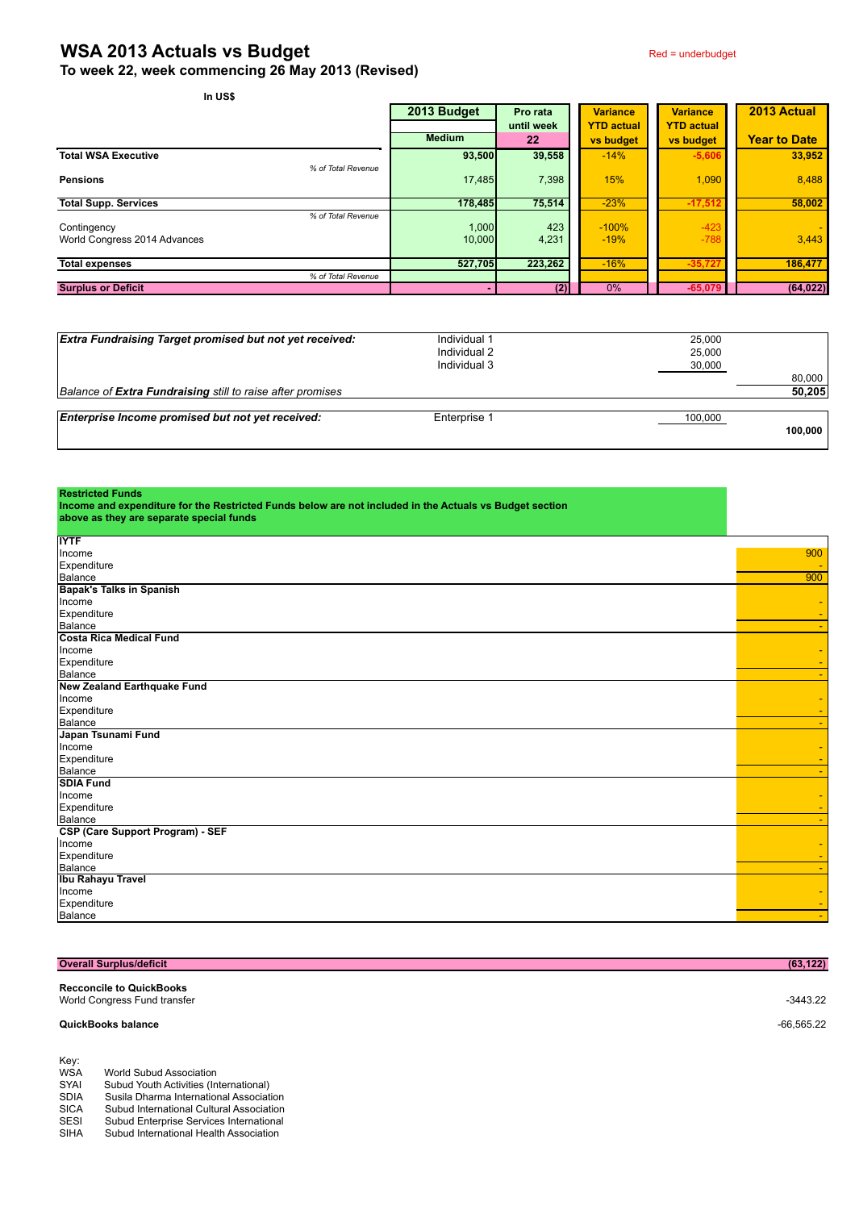## **WSA 2013 Actuals vs Budget** Red = underbudget **To week 22, week commencing 26 May 2013 (Revised)**

| In US\$                                                           |                 |              |                   |                   |                     |
|-------------------------------------------------------------------|-----------------|--------------|-------------------|-------------------|---------------------|
|                                                                   | 2013 Budget     | Pro rata     | <b>Variance</b>   | <b>Variance</b>   | 2013 Actual         |
|                                                                   |                 | until week   | <b>YTD actual</b> | <b>YTD actual</b> |                     |
|                                                                   | <b>Medium</b>   | 22           | vs budget         | vs budget         | <b>Year to Date</b> |
| <b>Total WSA Executive</b>                                        | 93,500          | 39,558       | $-14%$            | $-5,606$          | 33,952              |
| % of Total Revenue<br><b>Pensions</b>                             | 17,485          | 7,398        | 15%               | 1,090             | 8,488               |
| <b>Total Supp. Services</b>                                       | 178,485         | 75,514       | $-23%$            | $-17,512$         | 58.002              |
| % of Total Revenue<br>Contingency<br>World Congress 2014 Advances | 1,000<br>10,000 | 423<br>4,231 | $-100%$<br>$-19%$ | $-423$<br>$-788$  | ٠<br>3,443          |
| <b>Total expenses</b>                                             | 527,705         | 223,262      | $-16%$            | $-35,727$         | 186,477             |
| % of Total Revenue                                                |                 |              |                   |                   |                     |
| <b>Surplus or Deficit</b>                                         |                 | (2)          | $0\%$             | $-65,079$         | (64, 022)           |

| <b>Extra Fundraising Target promised but not yet received:</b> | Individual 1 | 25,000  |         |
|----------------------------------------------------------------|--------------|---------|---------|
|                                                                | Individual 2 | 25,000  |         |
|                                                                | Individual 3 | 30,000  |         |
|                                                                |              |         | 80,000  |
| Balance of Extra Fundraising still to raise after promises     |              |         | 50,205  |
|                                                                |              |         |         |
| Enterprise Income promised but not yet received:               | Enterprise 1 | 100,000 |         |
|                                                                |              |         | 100.000 |
|                                                                |              |         |         |

| <b>Restricted Funds</b> |  |  |
|-------------------------|--|--|
|                         |  |  |

**Income and expenditure for the Restricted Funds below are not included in the Actuals vs Budget section above as they are separate special funds**

| <b>IYTF</b>                        |     |
|------------------------------------|-----|
| Income                             | 900 |
| Expenditure                        |     |
| Balance                            | 900 |
| <b>Bapak's Talks in Spanish</b>    |     |
| Income                             |     |
| Expenditure                        |     |
| Balance                            |     |
| Costa Rica Medical Fund            |     |
| Income                             |     |
| Expenditure                        |     |
| Balance                            |     |
| <b>New Zealand Earthquake Fund</b> |     |
| Income                             |     |
| Expenditure                        |     |
| Balance                            |     |
| Japan Tsunami Fund                 |     |
| Income                             |     |
| Expenditure                        |     |
| Balance                            |     |
| <b>SDIA Fund</b>                   |     |
| Income                             |     |
| Expenditure                        |     |
| Balance                            |     |
| CSP (Care Support Program) - SEF   |     |
| Income                             |     |
| Expenditure                        |     |
| Balance                            |     |
| <b>Ibu Rahayu Travel</b>           |     |
| Income                             |     |
| Expenditure                        |     |
| Balance                            |     |

|                            | <b>Overall Surplus/deficit</b>                                                             | (63, 122)    |
|----------------------------|--------------------------------------------------------------------------------------------|--------------|
|                            | <b>Recconcile to QuickBooks</b><br>World Congress Fund transfer                            | $-3443.22$   |
|                            | <b>QuickBooks balance</b>                                                                  | $-66,565.22$ |
| Key:<br><b>WSA</b><br>SYAI | World Subud Association<br>Subud Youth Activities (International)                          |              |
| <b>SDIA</b><br>C10A        | Susila Dharma International Association<br><b>Subud International Cultural Appopiation</b> |              |

SICA Subud International Cultural Association<br>SESI Subud Enterprise Services International<br>SIHA Subud International Health Association

Subud Enterprise Services International

Subud International Health Association